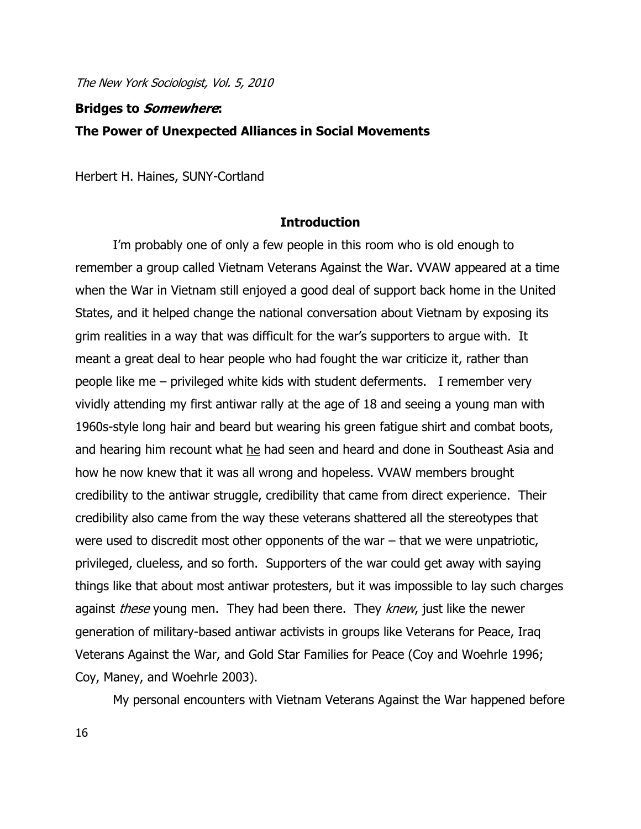# **Bridges to Somewhere: The Power of Unexpected Alliances in Social Movements**

Herbert H. Haines, SUNY-Cortland

#### **Introduction**

I"m probably one of only a few people in this room who is old enough to remember a group called Vietnam Veterans Against the War. VVAW appeared at a time when the War in Vietnam still enjoyed a good deal of support back home in the United States, and it helped change the national conversation about Vietnam by exposing its grim realities in a way that was difficult for the war"s supporters to argue with. It meant a great deal to hear people who had fought the war criticize it, rather than people like me – privileged white kids with student deferments. I remember very vividly attending my first antiwar rally at the age of 18 and seeing a young man with 1960s-style long hair and beard but wearing his green fatigue shirt and combat boots, and hearing him recount what he had seen and heard and done in Southeast Asia and how he now knew that it was all wrong and hopeless. VVAW members brought credibility to the antiwar struggle, credibility that came from direct experience. Their credibility also came from the way these veterans shattered all the stereotypes that were used to discredit most other opponents of the war – that we were unpatriotic, privileged, clueless, and so forth. Supporters of the war could get away with saying things like that about most antiwar protesters, but it was impossible to lay such charges against *these* young men. They had been there. They *knew*, just like the newer generation of military-based antiwar activists in groups like Veterans for Peace, Iraq Veterans Against the War, and Gold Star Families for Peace (Coy and Woehrle 1996; Coy, Maney, and Woehrle 2003).

My personal encounters with Vietnam Veterans Against the War happened before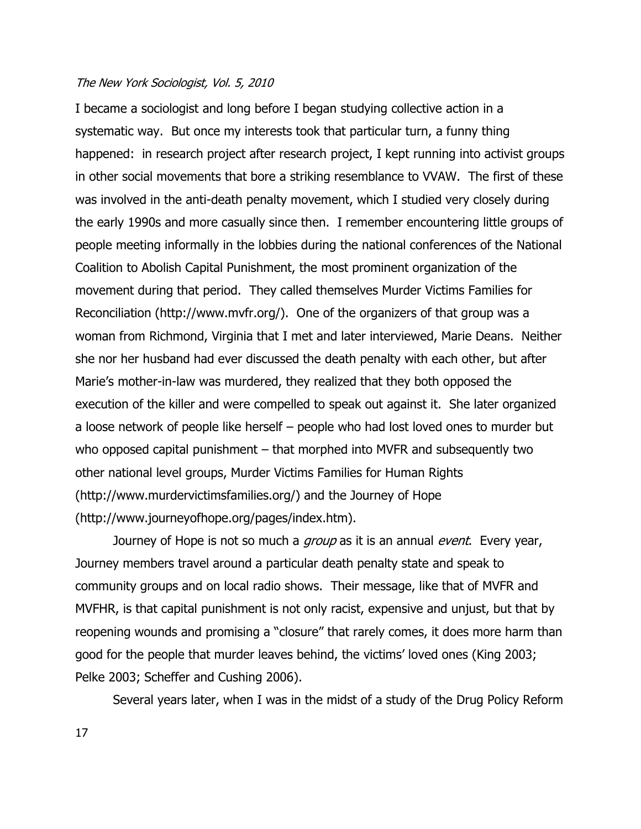I became a sociologist and long before I began studying collective action in a systematic way. But once my interests took that particular turn, a funny thing happened: in research project after research project, I kept running into activist groups in other social movements that bore a striking resemblance to VVAW. The first of these was involved in the anti-death penalty movement, which I studied very closely during the early 1990s and more casually since then. I remember encountering little groups of people meeting informally in the lobbies during the national conferences of the National Coalition to Abolish Capital Punishment, the most prominent organization of the movement during that period. They called themselves Murder Victims Families for Reconciliation (http://www.mvfr.org/). One of the organizers of that group was a woman from Richmond, Virginia that I met and later interviewed, Marie Deans. Neither she nor her husband had ever discussed the death penalty with each other, but after Marie"s mother-in-law was murdered, they realized that they both opposed the execution of the killer and were compelled to speak out against it. She later organized a loose network of people like herself – people who had lost loved ones to murder but who opposed capital punishment – that morphed into MVFR and subsequently two other national level groups, Murder Victims Families for Human Rights (http://www.murdervictimsfamilies.org/) and the Journey of Hope (http://www.journeyofhope.org/pages/index.htm).

Journey of Hope is not so much a *group* as it is an annual *event*. Every year, Journey members travel around a particular death penalty state and speak to community groups and on local radio shows. Their message, like that of MVFR and MVFHR, is that capital punishment is not only racist, expensive and unjust, but that by reopening wounds and promising a "closure" that rarely comes, it does more harm than good for the people that murder leaves behind, the victims' loved ones (King 2003; Pelke 2003; Scheffer and Cushing 2006).

Several years later, when I was in the midst of a study of the Drug Policy Reform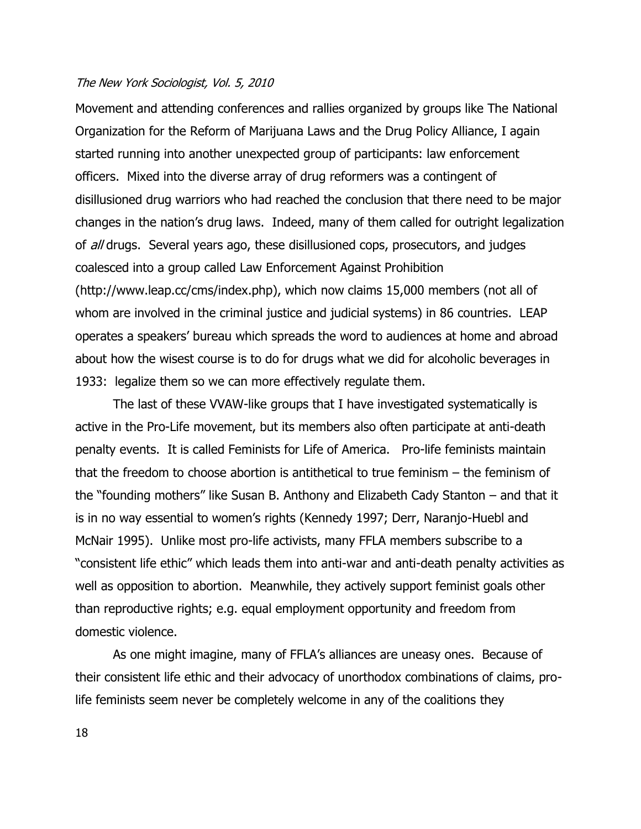Movement and attending conferences and rallies organized by groups like The National Organization for the Reform of Marijuana Laws and the Drug Policy Alliance, I again started running into another unexpected group of participants: law enforcement officers. Mixed into the diverse array of drug reformers was a contingent of disillusioned drug warriors who had reached the conclusion that there need to be major changes in the nation"s drug laws. Indeed, many of them called for outright legalization of all drugs. Several years ago, these disillusioned cops, prosecutors, and judges coalesced into a group called Law Enforcement Against Prohibition (http://www.leap.cc/cms/index.php), which now claims 15,000 members (not all of whom are involved in the criminal justice and judicial systems) in 86 countries. LEAP operates a speakers" bureau which spreads the word to audiences at home and abroad about how the wisest course is to do for drugs what we did for alcoholic beverages in 1933: legalize them so we can more effectively regulate them.

The last of these VVAW-like groups that I have investigated systematically is active in the Pro-Life movement, but its members also often participate at anti-death penalty events. It is called Feminists for Life of America. Pro-life feminists maintain that the freedom to choose abortion is antithetical to true feminism – the feminism of the "founding mothers" like Susan B. Anthony and Elizabeth Cady Stanton – and that it is in no way essential to women's rights (Kennedy 1997; Derr, Naranjo-Huebl and McNair 1995). Unlike most pro-life activists, many FFLA members subscribe to a "consistent life ethic" which leads them into anti-war and anti-death penalty activities as well as opposition to abortion. Meanwhile, they actively support feminist goals other than reproductive rights; e.g. equal employment opportunity and freedom from domestic violence.

As one might imagine, many of FFLA"s alliances are uneasy ones. Because of their consistent life ethic and their advocacy of unorthodox combinations of claims, prolife feminists seem never be completely welcome in any of the coalitions they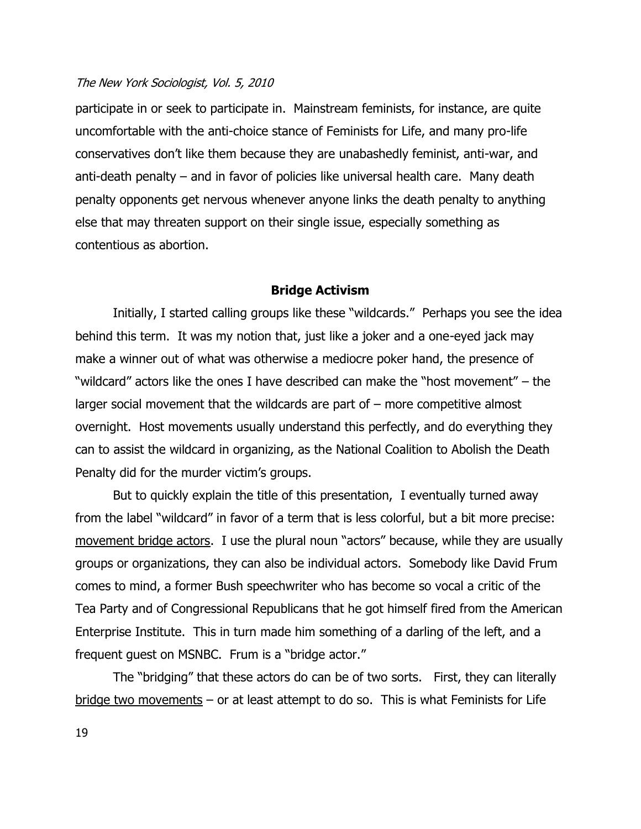participate in or seek to participate in. Mainstream feminists, for instance, are quite uncomfortable with the anti-choice stance of Feminists for Life, and many pro-life conservatives don"t like them because they are unabashedly feminist, anti-war, and anti-death penalty – and in favor of policies like universal health care. Many death penalty opponents get nervous whenever anyone links the death penalty to anything else that may threaten support on their single issue, especially something as contentious as abortion.

#### **Bridge Activism**

Initially, I started calling groups like these "wildcards." Perhaps you see the idea behind this term. It was my notion that, just like a joker and a one-eyed jack may make a winner out of what was otherwise a mediocre poker hand, the presence of "wildcard" actors like the ones I have described can make the "host movement" – the larger social movement that the wildcards are part of – more competitive almost overnight. Host movements usually understand this perfectly, and do everything they can to assist the wildcard in organizing, as the National Coalition to Abolish the Death Penalty did for the murder victim's groups.

But to quickly explain the title of this presentation, I eventually turned away from the label "wildcard" in favor of a term that is less colorful, but a bit more precise: movement bridge actors. I use the plural noun "actors" because, while they are usually groups or organizations, they can also be individual actors. Somebody like David Frum comes to mind, a former Bush speechwriter who has become so vocal a critic of the Tea Party and of Congressional Republicans that he got himself fired from the American Enterprise Institute. This in turn made him something of a darling of the left, and a frequent guest on MSNBC. Frum is a "bridge actor."

The "bridging" that these actors do can be of two sorts. First, they can literally  $bridge two movements - or at least attempt to do so. This is what Feminists for Life$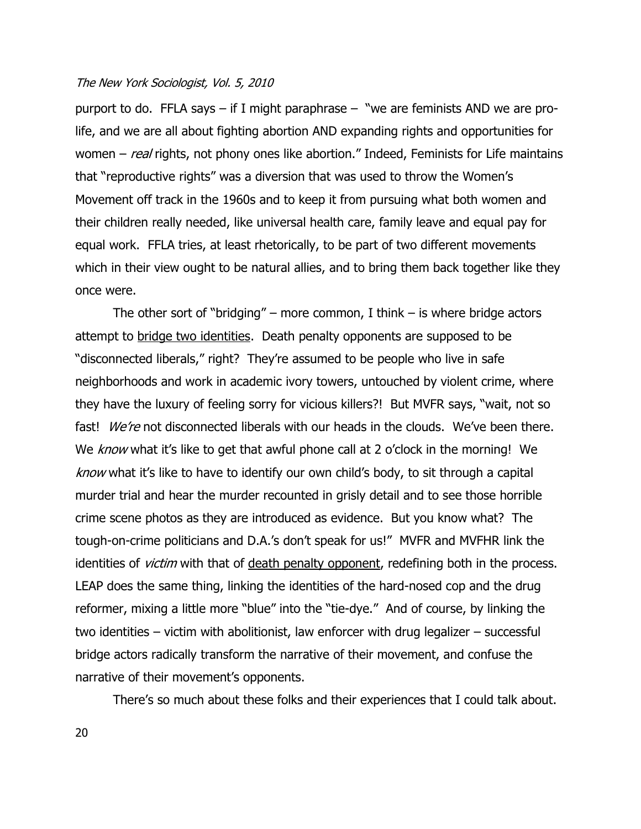purport to do. FFLA says – if I might paraphrase – "we are feminists AND we are prolife, and we are all about fighting abortion AND expanding rights and opportunities for women  $-$  real rights, not phony ones like abortion." Indeed, Feminists for Life maintains that "reproductive rights" was a diversion that was used to throw the Women"s Movement off track in the 1960s and to keep it from pursuing what both women and their children really needed, like universal health care, family leave and equal pay for equal work. FFLA tries, at least rhetorically, to be part of two different movements which in their view ought to be natural allies, and to bring them back together like they once were.

The other sort of "bridging" – more common, I think – is where bridge actors attempt to bridge two identities. Death penalty opponents are supposed to be "disconnected liberals," right? They"re assumed to be people who live in safe neighborhoods and work in academic ivory towers, untouched by violent crime, where they have the luxury of feeling sorry for vicious killers?! But MVFR says, "wait, not so fast!  $We^{\prime}$ e not disconnected liberals with our heads in the clouds. We've been there. We know what it's like to get that awful phone call at 2 o'clock in the morning! We know what it's like to have to identify our own child's body, to sit through a capital murder trial and hear the murder recounted in grisly detail and to see those horrible crime scene photos as they are introduced as evidence. But you know what? The tough-on-crime politicians and D.A."s don"t speak for us!" MVFR and MVFHR link the identities of *victim* with that of death penalty opponent, redefining both in the process. LEAP does the same thing, linking the identities of the hard-nosed cop and the drug reformer, mixing a little more "blue" into the "tie-dye." And of course, by linking the two identities – victim with abolitionist, law enforcer with drug legalizer – successful bridge actors radically transform the narrative of their movement, and confuse the narrative of their movement's opponents.

There"s so much about these folks and their experiences that I could talk about.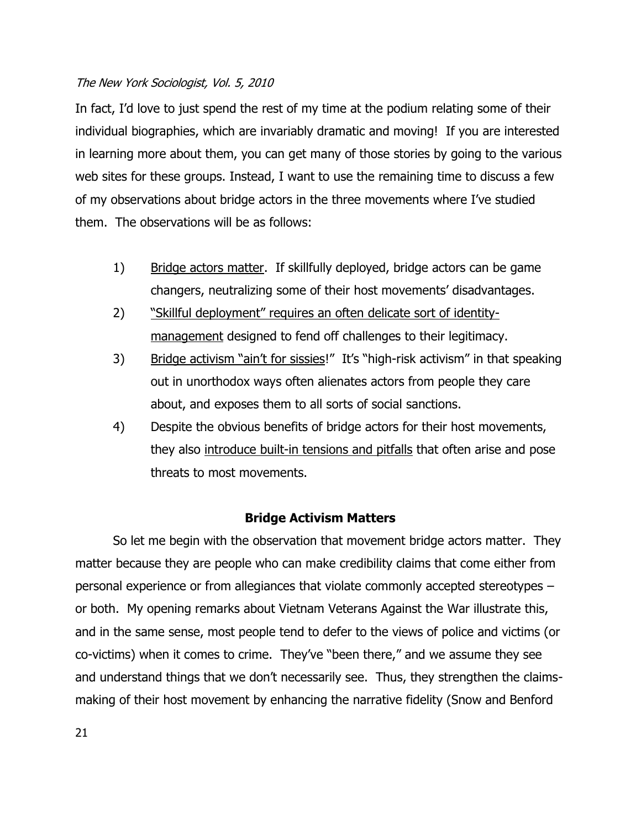In fact, I'd love to just spend the rest of my time at the podium relating some of their individual biographies, which are invariably dramatic and moving! If you are interested in learning more about them, you can get many of those stories by going to the various web sites for these groups. Instead, I want to use the remaining time to discuss a few of my observations about bridge actors in the three movements where I"ve studied them. The observations will be as follows:

- 1) Bridge actors matter. If skillfully deployed, bridge actors can be game changers, neutralizing some of their host movements" disadvantages.
- 2) "Skillful deployment" requires an often delicate sort of identitymanagement designed to fend off challenges to their legitimacy.
- 3) Bridge activism "ain't for sissies!" It's "high-risk activism" in that speaking out in unorthodox ways often alienates actors from people they care about, and exposes them to all sorts of social sanctions.
- 4) Despite the obvious benefits of bridge actors for their host movements, they also introduce built-in tensions and pitfalls that often arise and pose threats to most movements.

## **Bridge Activism Matters**

So let me begin with the observation that movement bridge actors matter. They matter because they are people who can make credibility claims that come either from personal experience or from allegiances that violate commonly accepted stereotypes – or both. My opening remarks about Vietnam Veterans Against the War illustrate this, and in the same sense, most people tend to defer to the views of police and victims (or co-victims) when it comes to crime. They"ve "been there," and we assume they see and understand things that we don"t necessarily see. Thus, they strengthen the claimsmaking of their host movement by enhancing the narrative fidelity (Snow and Benford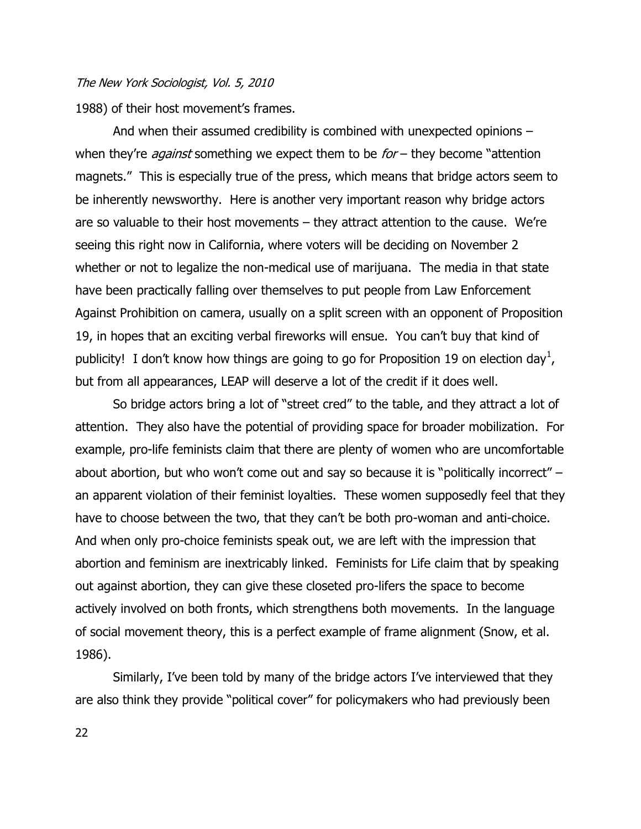1988) of their host movement's frames.

And when their assumed credibility is combined with unexpected opinions – when they're *against* something we expect them to be  $for$  – they become "attention magnets." This is especially true of the press, which means that bridge actors seem to be inherently newsworthy. Here is another very important reason why bridge actors are so valuable to their host movements – they attract attention to the cause. We"re seeing this right now in California, where voters will be deciding on November 2 whether or not to legalize the non-medical use of marijuana. The media in that state have been practically falling over themselves to put people from Law Enforcement Against Prohibition on camera, usually on a split screen with an opponent of Proposition 19, in hopes that an exciting verbal fireworks will ensue. You can"t buy that kind of publicity! I don't know how things are going to go for Proposition 19 on election day<sup>1</sup>, but from all appearances, LEAP will deserve a lot of the credit if it does well.

So bridge actors bring a lot of "street cred" to the table, and they attract a lot of attention. They also have the potential of providing space for broader mobilization. For example, pro-life feminists claim that there are plenty of women who are uncomfortable about abortion, but who won't come out and say so because it is "politically incorrect" – an apparent violation of their feminist loyalties. These women supposedly feel that they have to choose between the two, that they can't be both pro-woman and anti-choice. And when only pro-choice feminists speak out, we are left with the impression that abortion and feminism are inextricably linked. Feminists for Life claim that by speaking out against abortion, they can give these closeted pro-lifers the space to become actively involved on both fronts, which strengthens both movements. In the language of social movement theory, this is a perfect example of frame alignment (Snow, et al. 1986).

Similarly, I've been told by many of the bridge actors I've interviewed that they are also think they provide "political cover" for policymakers who had previously been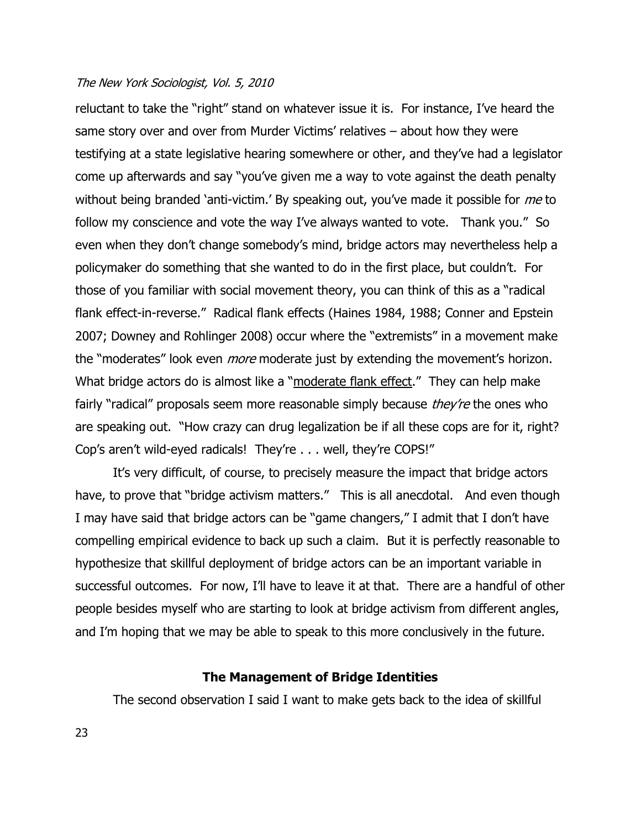reluctant to take the "right" stand on whatever issue it is. For instance, I"ve heard the same story over and over from Murder Victims' relatives – about how they were testifying at a state legislative hearing somewhere or other, and they"ve had a legislator come up afterwards and say "you"ve given me a way to vote against the death penalty without being branded 'anti-victim.' By speaking out, you've made it possible for me to follow my conscience and vote the way I've always wanted to vote. Thank you." So even when they don't change somebody's mind, bridge actors may nevertheless help a policymaker do something that she wanted to do in the first place, but couldn"t. For those of you familiar with social movement theory, you can think of this as a "radical flank effect-in-reverse." Radical flank effects (Haines 1984, 1988; Conner and Epstein 2007; Downey and Rohlinger 2008) occur where the "extremists" in a movement make the "moderates" look even *more* moderate just by extending the movement's horizon. What bridge actors do is almost like a "moderate flank effect." They can help make fairly "radical" proposals seem more reasonable simply because *they're* the ones who are speaking out. "How crazy can drug legalization be if all these cops are for it, right? Cop"s aren"t wild-eyed radicals! They"re . . . well, they"re COPS!"

It's very difficult, of course, to precisely measure the impact that bridge actors have, to prove that "bridge activism matters." This is all anecdotal. And even though I may have said that bridge actors can be "game changers," I admit that I don"t have compelling empirical evidence to back up such a claim. But it is perfectly reasonable to hypothesize that skillful deployment of bridge actors can be an important variable in successful outcomes. For now, I"ll have to leave it at that. There are a handful of other people besides myself who are starting to look at bridge activism from different angles, and I'm hoping that we may be able to speak to this more conclusively in the future.

#### **The Management of Bridge Identities**

The second observation I said I want to make gets back to the idea of skillful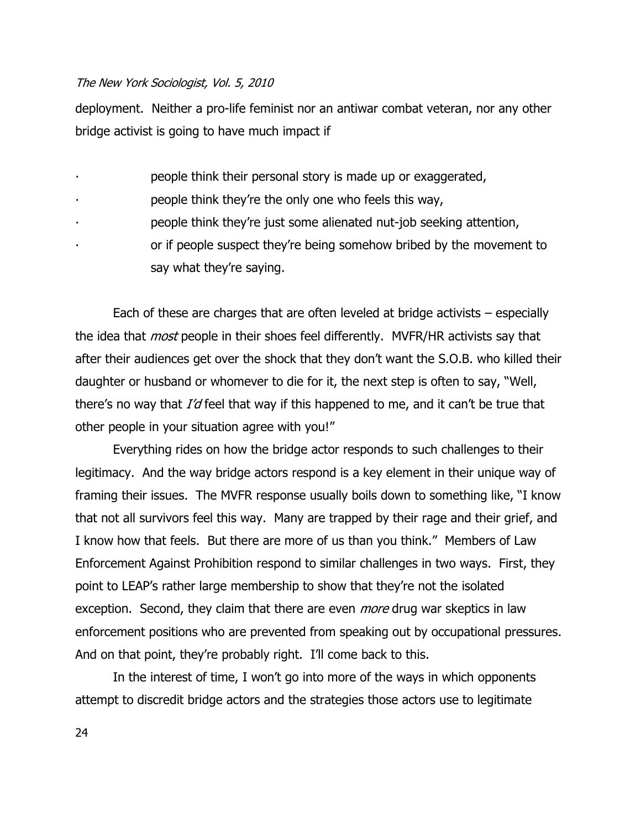deployment. Neither a pro-life feminist nor an antiwar combat veteran, nor any other bridge activist is going to have much impact if

- ∙ people think their personal story is made up or exaggerated,
- ∙ people think they"re the only one who feels this way,
- ∙ people think they"re just some alienated nut-job seeking attention,
- ∙ or if people suspect they"re being somehow bribed by the movement to say what they're saying.

Each of these are charges that are often leveled at bridge activists – especially the idea that *most* people in their shoes feel differently. MVFR/HR activists say that after their audiences get over the shock that they don"t want the S.O.B. who killed their daughter or husband or whomever to die for it, the next step is often to say, "Well, there's no way that  $I'd$  feel that way if this happened to me, and it can't be true that other people in your situation agree with you!"

Everything rides on how the bridge actor responds to such challenges to their legitimacy. And the way bridge actors respond is a key element in their unique way of framing their issues. The MVFR response usually boils down to something like, "I know that not all survivors feel this way. Many are trapped by their rage and their grief, and I know how that feels. But there are more of us than you think." Members of Law Enforcement Against Prohibition respond to similar challenges in two ways. First, they point to LEAP"s rather large membership to show that they"re not the isolated exception. Second, they claim that there are even *more* drug war skeptics in law enforcement positions who are prevented from speaking out by occupational pressures. And on that point, they're probably right. I'll come back to this.

In the interest of time, I won't go into more of the ways in which opponents attempt to discredit bridge actors and the strategies those actors use to legitimate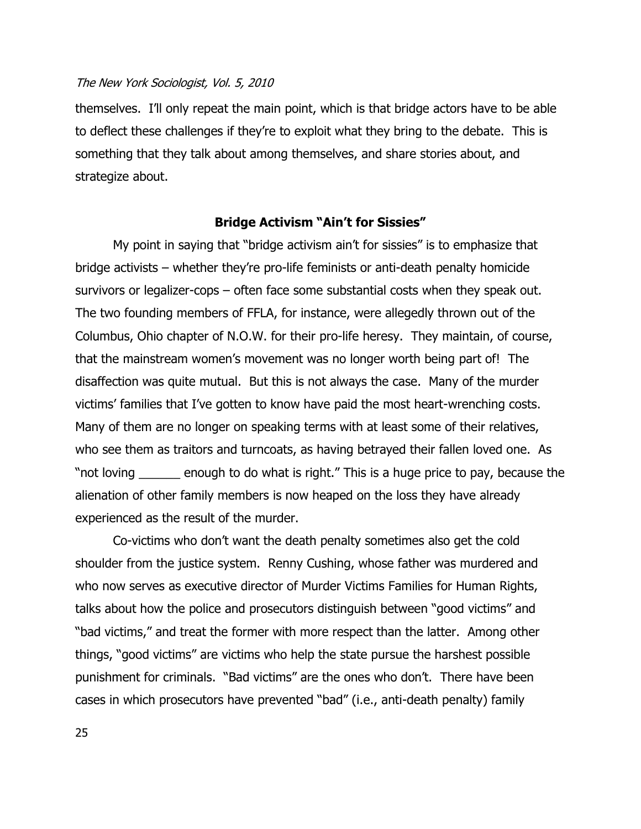themselves. I"ll only repeat the main point, which is that bridge actors have to be able to deflect these challenges if they"re to exploit what they bring to the debate. This is something that they talk about among themselves, and share stories about, and strategize about.

#### **Bridge Activism "Ain't for Sissies"**

My point in saying that "bridge activism ain"t for sissies" is to emphasize that bridge activists – whether they"re pro-life feminists or anti-death penalty homicide survivors or legalizer-cops – often face some substantial costs when they speak out. The two founding members of FFLA, for instance, were allegedly thrown out of the Columbus, Ohio chapter of N.O.W. for their pro-life heresy. They maintain, of course, that the mainstream women"s movement was no longer worth being part of! The disaffection was quite mutual. But this is not always the case. Many of the murder victims' families that I've gotten to know have paid the most heart-wrenching costs. Many of them are no longer on speaking terms with at least some of their relatives, who see them as traitors and turncoats, as having betrayed their fallen loved one. As "not loving \_\_\_\_\_\_ enough to do what is right." This is a huge price to pay, because the alienation of other family members is now heaped on the loss they have already experienced as the result of the murder.

Co-victims who don"t want the death penalty sometimes also get the cold shoulder from the justice system. Renny Cushing, whose father was murdered and who now serves as executive director of Murder Victims Families for Human Rights, talks about how the police and prosecutors distinguish between "good victims" and "bad victims," and treat the former with more respect than the latter. Among other things, "good victims" are victims who help the state pursue the harshest possible punishment for criminals. "Bad victims" are the ones who don"t. There have been cases in which prosecutors have prevented "bad" (i.e., anti-death penalty) family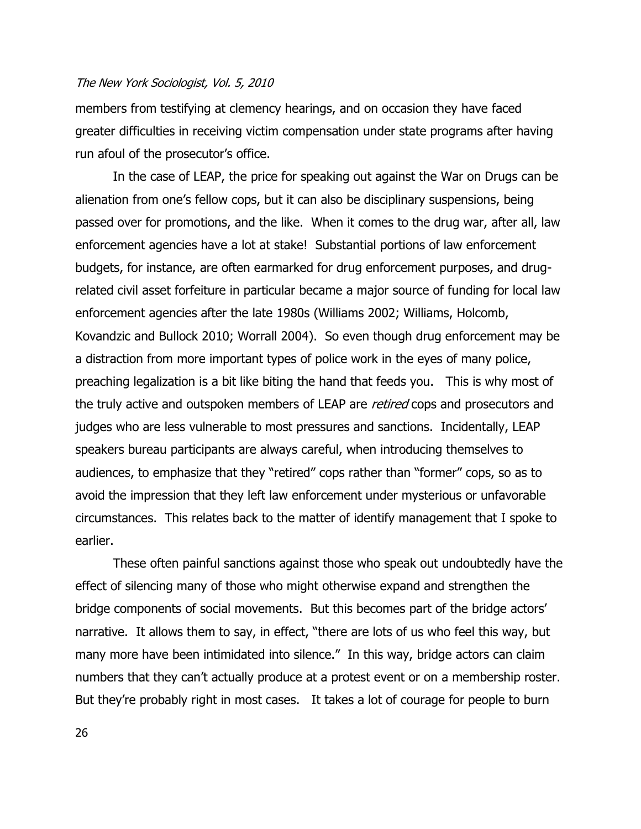members from testifying at clemency hearings, and on occasion they have faced greater difficulties in receiving victim compensation under state programs after having run afoul of the prosecutor's office.

In the case of LEAP, the price for speaking out against the War on Drugs can be alienation from one"s fellow cops, but it can also be disciplinary suspensions, being passed over for promotions, and the like. When it comes to the drug war, after all, law enforcement agencies have a lot at stake! Substantial portions of law enforcement budgets, for instance, are often earmarked for drug enforcement purposes, and drugrelated civil asset forfeiture in particular became a major source of funding for local law enforcement agencies after the late 1980s (Williams 2002; Williams, Holcomb, Kovandzic and Bullock 2010; Worrall 2004). So even though drug enforcement may be a distraction from more important types of police work in the eyes of many police, preaching legalization is a bit like biting the hand that feeds you. This is why most of the truly active and outspoken members of LEAP are *retired* cops and prosecutors and judges who are less vulnerable to most pressures and sanctions. Incidentally, LEAP speakers bureau participants are always careful, when introducing themselves to audiences, to emphasize that they "retired" cops rather than "former" cops, so as to avoid the impression that they left law enforcement under mysterious or unfavorable circumstances. This relates back to the matter of identify management that I spoke to earlier.

These often painful sanctions against those who speak out undoubtedly have the effect of silencing many of those who might otherwise expand and strengthen the bridge components of social movements. But this becomes part of the bridge actors" narrative. It allows them to say, in effect, "there are lots of us who feel this way, but many more have been intimidated into silence." In this way, bridge actors can claim numbers that they can"t actually produce at a protest event or on a membership roster. But they're probably right in most cases. It takes a lot of courage for people to burn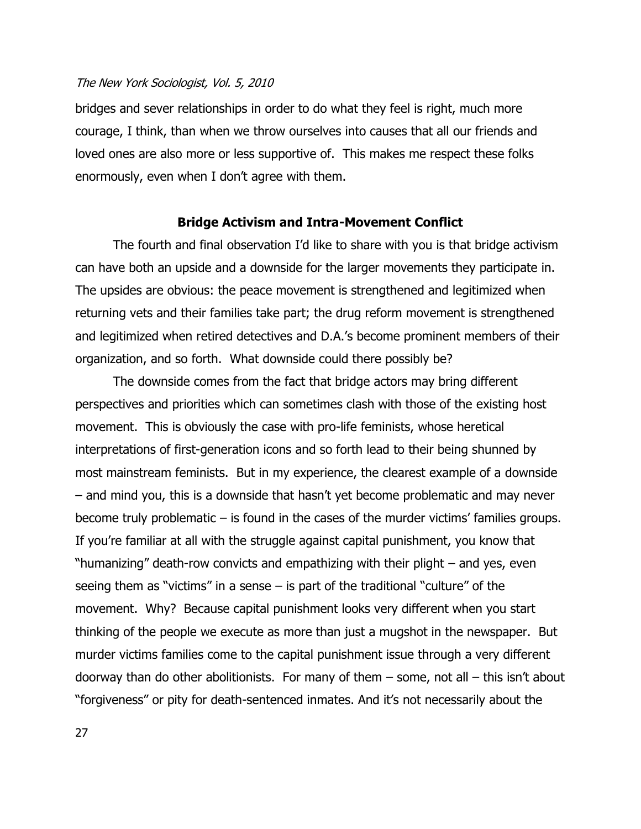bridges and sever relationships in order to do what they feel is right, much more courage, I think, than when we throw ourselves into causes that all our friends and loved ones are also more or less supportive of. This makes me respect these folks enormously, even when I don"t agree with them.

#### **Bridge Activism and Intra-Movement Conflict**

The fourth and final observation I"d like to share with you is that bridge activism can have both an upside and a downside for the larger movements they participate in. The upsides are obvious: the peace movement is strengthened and legitimized when returning vets and their families take part; the drug reform movement is strengthened and legitimized when retired detectives and D.A."s become prominent members of their organization, and so forth. What downside could there possibly be?

The downside comes from the fact that bridge actors may bring different perspectives and priorities which can sometimes clash with those of the existing host movement. This is obviously the case with pro-life feminists, whose heretical interpretations of first-generation icons and so forth lead to their being shunned by most mainstream feminists. But in my experience, the clearest example of a downside – and mind you, this is a downside that hasn"t yet become problematic and may never become truly problematic  $-$  is found in the cases of the murder victims' families groups. If you"re familiar at all with the struggle against capital punishment, you know that "humanizing" death-row convicts and empathizing with their plight – and yes, even seeing them as "victims" in a sense  $-$  is part of the traditional "culture" of the movement. Why? Because capital punishment looks very different when you start thinking of the people we execute as more than just a mugshot in the newspaper. But murder victims families come to the capital punishment issue through a very different doorway than do other abolitionists. For many of them  $-$  some, not all  $-$  this isn't about "forgiveness" or pity for death-sentenced inmates. And it"s not necessarily about the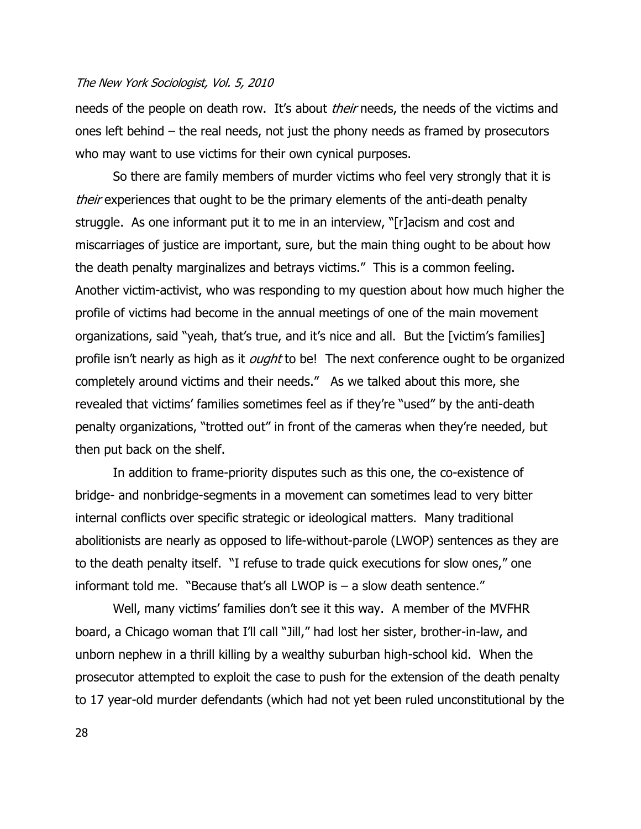needs of the people on death row. It's about *their* needs, the needs of the victims and ones left behind – the real needs, not just the phony needs as framed by prosecutors who may want to use victims for their own cynical purposes.

So there are family members of murder victims who feel very strongly that it is their experiences that ought to be the primary elements of the anti-death penalty struggle. As one informant put it to me in an interview, "[r]acism and cost and miscarriages of justice are important, sure, but the main thing ought to be about how the death penalty marginalizes and betrays victims." This is a common feeling. Another victim-activist, who was responding to my question about how much higher the profile of victims had become in the annual meetings of one of the main movement organizations, said "yeah, that's true, and it's nice and all. But the [victim's families] profile isn't nearly as high as it *ought* to be! The next conference ought to be organized completely around victims and their needs." As we talked about this more, she revealed that victims' families sometimes feel as if they're "used" by the anti-death penalty organizations, "trotted out" in front of the cameras when they"re needed, but then put back on the shelf.

In addition to frame-priority disputes such as this one, the co-existence of bridge- and nonbridge-segments in a movement can sometimes lead to very bitter internal conflicts over specific strategic or ideological matters. Many traditional abolitionists are nearly as opposed to life-without-parole (LWOP) sentences as they are to the death penalty itself. "I refuse to trade quick executions for slow ones," one informant told me. "Because that's all LWOP is  $-$  a slow death sentence."

Well, many victims' families don't see it this way. A member of the MVFHR board, a Chicago woman that I"ll call "Jill," had lost her sister, brother-in-law, and unborn nephew in a thrill killing by a wealthy suburban high-school kid. When the prosecutor attempted to exploit the case to push for the extension of the death penalty to 17 year-old murder defendants (which had not yet been ruled unconstitutional by the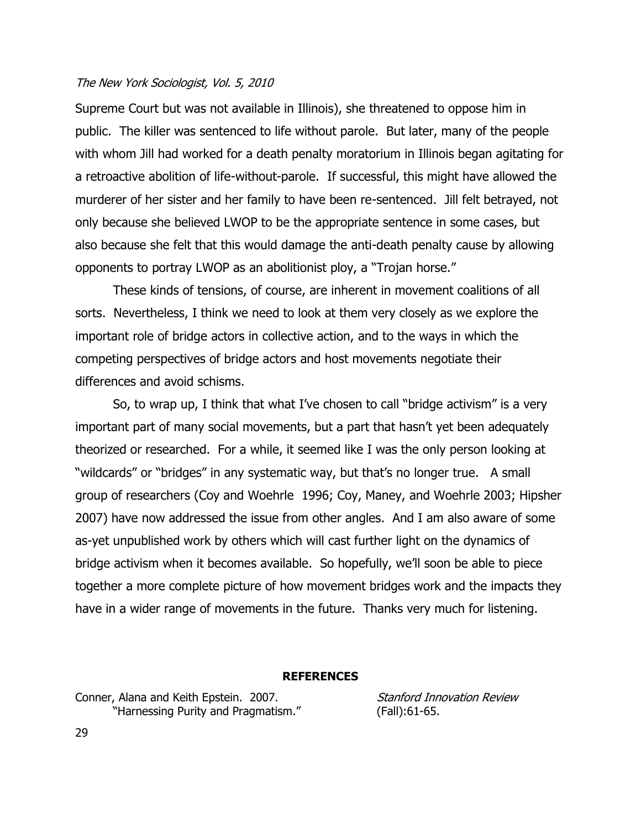Supreme Court but was not available in Illinois), she threatened to oppose him in public. The killer was sentenced to life without parole. But later, many of the people with whom Jill had worked for a death penalty moratorium in Illinois began agitating for a retroactive abolition of life-without-parole. If successful, this might have allowed the murderer of her sister and her family to have been re-sentenced. Jill felt betrayed, not only because she believed LWOP to be the appropriate sentence in some cases, but also because she felt that this would damage the anti-death penalty cause by allowing opponents to portray LWOP as an abolitionist ploy, a "Trojan horse."

These kinds of tensions, of course, are inherent in movement coalitions of all sorts. Nevertheless, I think we need to look at them very closely as we explore the important role of bridge actors in collective action, and to the ways in which the competing perspectives of bridge actors and host movements negotiate their differences and avoid schisms.

So, to wrap up, I think that what I"ve chosen to call "bridge activism" is a very important part of many social movements, but a part that hasn"t yet been adequately theorized or researched. For a while, it seemed like I was the only person looking at "wildcards" or "bridges" in any systematic way, but that's no longer true. A small group of researchers (Coy and Woehrle 1996; Coy, Maney, and Woehrle 2003; Hipsher 2007) have now addressed the issue from other angles. And I am also aware of some as-yet unpublished work by others which will cast further light on the dynamics of bridge activism when it becomes available. So hopefully, we"ll soon be able to piece together a more complete picture of how movement bridges work and the impacts they have in a wider range of movements in the future. Thanks very much for listening.

#### **REFERENCES**

Conner, Alana and Keith Epstein. 2007. "Harnessing Purity and Pragmatism."

Stanford Innovation Review (Fall):61-65.

29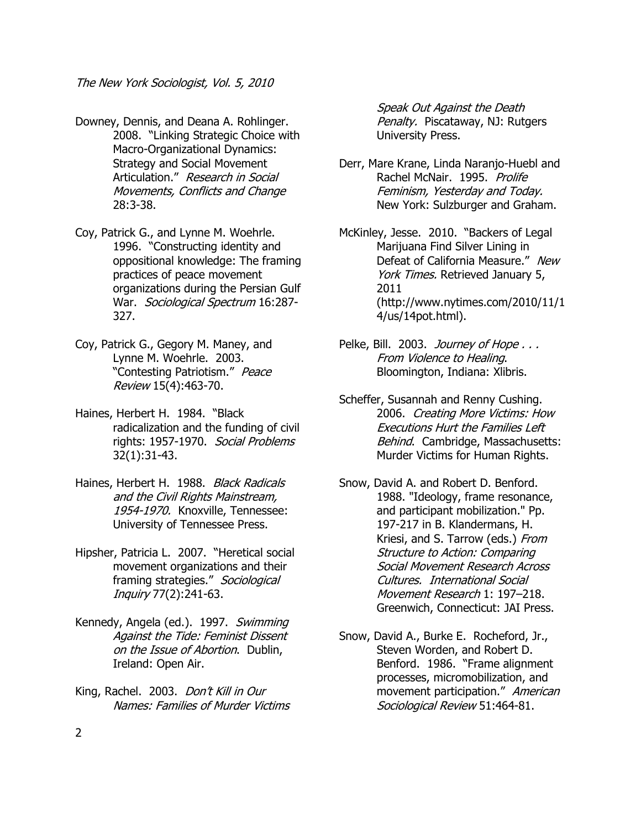- Downey, Dennis, and Deana A. Rohlinger. 2008. "Linking Strategic Choice with Macro-Organizational Dynamics: Strategy and Social Movement Articulation." Research in Social Movements, Conflicts and Change 28:3-38.
- Coy, Patrick G., and Lynne M. Woehrle. 1996. "Constructing identity and oppositional knowledge: The framing practices of peace movement organizations during the Persian Gulf War. Sociological Spectrum 16:287-327.
- Coy, Patrick G., Gegory M. Maney, and Lynne M. Woehrle. 2003. "Contesting Patriotism." Peace Review 15(4):463-70.
- Haines, Herbert H. 1984. "Black radicalization and the funding of civil rights: 1957-1970. Social Problems 32(1):31-43.
- Haines, Herbert H. 1988. Black Radicals and the Civil Rights Mainstream, 1954-1970. Knoxville, Tennessee: University of Tennessee Press.
- Hipsher, Patricia L. 2007. "Heretical social movement organizations and their framing strategies." Sociological Inquiry 77(2):241-63.
- Kennedy, Angela (ed.). 1997. Swimming Against the Tide: Feminist Dissent on the Issue of Abortion. Dublin, Ireland: Open Air.
- King, Rachel. 2003. Don't Kill in Our Names: Families of Murder Victims

Speak Out Against the Death Penalty. Piscataway, NJ: Rutgers University Press.

Derr, Mare Krane, Linda Naranjo-Huebl and Rachel McNair. 1995. Prolife Feminism, Yesterday and Today. New York: Sulzburger and Graham.

McKinley, Jesse. 2010. "Backers of Legal Marijuana Find Silver Lining in Defeat of California Measure." New York Times. Retrieved January 5, 2011 (http://www.nytimes.com/2010/11/1 4/us/14pot.html).

- Pelke, Bill. 2003. Journey of Hope ... From Violence to Healing. Bloomington, Indiana: Xlibris.
- Scheffer, Susannah and Renny Cushing. 2006. Creating More Victims: How Executions Hurt the Families Left Behind. Cambridge, Massachusetts: Murder Victims for Human Rights.
- Snow, David A. and Robert D. Benford. 1988. "Ideology, frame resonance, and participant mobilization." Pp. 197-217 in B. Klandermans, H. Kriesi, and S. Tarrow (eds.) From Structure to Action: Comparing Social Movement Research Across Cultures. International Social Movement Research 1: 197–218. Greenwich, Connecticut: JAI Press.
- Snow, David A., Burke E. Rocheford, Jr., Steven Worden, and Robert D. Benford. 1986. "Frame alignment processes, micromobilization, and movement participation." American Sociological Review 51:464-81.